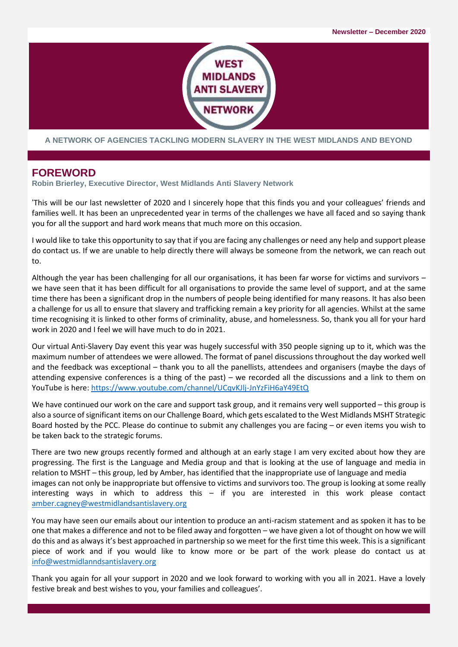

**A NETWORK OF AGENCIES TACKLING MODERN SLAVERY IN THE WEST MIDLANDS AND BEYOND**

#### **FOREWORD**

**Robin Brierley, Executive Director, West Midlands Anti Slavery Network**

'This will be our last newsletter of 2020 and I sincerely hope that this finds you and your colleagues' friends and families well. It has been an unprecedented year in terms of the challenges we have all faced and so saying thank you for all the support and hard work means that much more on this occasion.

I would like to take this opportunity to say that if you are facing any challenges or need any help and support please do contact us. If we are unable to help directly there will always be someone from the network, we can reach out to.

Although the year has been challenging for all our organisations, it has been far worse for victims and survivors – we have seen that it has been difficult for all organisations to provide the same level of support, and at the same time there has been a significant drop in the numbers of people being identified for many reasons. It has also been a challenge for us all to ensure that slavery and trafficking remain a key priority for all agencies. Whilst at the same time recognising it is linked to other forms of criminality, abuse, and homelessness. So, thank you all for your hard work in 2020 and I feel we will have much to do in 2021.

Our virtual Anti-Slavery Day event this year was hugely successful with 350 people signing up to it, which was the maximum number of attendees we were allowed. The format of panel discussions throughout the day worked well and the feedback was exceptional – thank you to all the panellists, attendees and organisers (maybe the days of attending expensive conferences is a thing of the past) – we recorded all the discussions and a link to them on YouTube is here[: https://www.youtube.com/channel/UCqvKJlj-JnYzFiH6aY49EtQ](https://www.youtube.com/channel/UCqvKJlj-JnYzFiH6aY49EtQ)

We have continued our work on the care and support task group, and it remains very well supported – this group is also a source of significant items on our Challenge Board, which gets escalated to the West Midlands MSHT Strategic Board hosted by the PCC. Please do continue to submit any challenges you are facing – or even items you wish to be taken back to the strategic forums.

There are two new groups recently formed and although at an early stage I am very excited about how they are progressing. The first is the Language and Media group and that is looking at the use of language and media in relation to MSHT – this group, led by Amber, has identified that the inappropriate use of language and media images can not only be inappropriate but offensive to victims and survivors too. The group is looking at some really interesting ways in which to address this – if you are interested in this work please contact [amber.cagney@westmidlandsantislavery.org](mailto:amber.cagney@westmidlandsantislavery.org)

You may have seen our emails about our intention to produce an anti-racism statement and as spoken it has to be one that makes a difference and not to be filed away and forgotten – we have given a lot of thought on how we will do this and as always it's best approached in partnership so we meet for the first time this week. This is a significant piece of work and if you would like to know more or be part of the work please do contact us at [info@westmidlanndsantislavery.org](mailto:info@westmidlandsantislavery.org)

Thank you again for all your support in 2020 and we look forward to working with you all in 2021. Have a lovely festive break and best wishes to you, your families and colleagues'.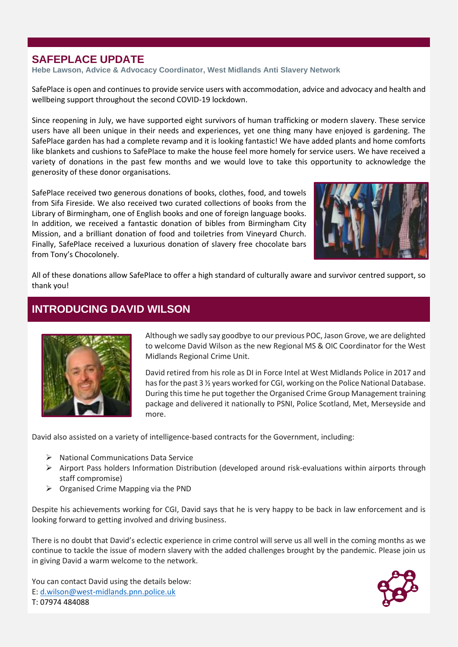### **SAFEPLACE UPDATE**

**Hebe Lawson, Advice & Advocacy Coordinator, West Midlands Anti Slavery Network**

SafePlace is open and continues to provide service users with accommodation, advice and advocacy and health and wellbeing support throughout the second COVID-19 lockdown.

Since reopening in July, we have supported eight survivors of human trafficking or modern slavery. These service users have all been unique in their needs and experiences, yet one thing many have enjoyed is gardening. The SafePlace garden has had a complete revamp and it is looking fantastic! We have added plants and home comforts like blankets and cushions to SafePlace to make the house feel more homely for service users. We have received a variety of donations in the past few months and we would love to take this opportunity to acknowledge the generosity of these donor organisations.

SafePlace received two generous donations of books, clothes, food, and towels from Sifa Fireside. We also received two curated collections of books from the Library of Birmingham, one of English books and one of foreign language books. In addition, we received a fantastic donation of bibles from Birmingham City Mission, and a brilliant donation of food and toiletries from Vineyard Church. Finally, SafePlace received a luxurious donation of slavery free chocolate bars from Tony's Chocolonely.



All of these donations allow SafePlace to offer a high standard of culturally aware and survivor centred support, so thank you!

## **INTRODUCING DAVID WILSON**



Although we sadly say goodbye to our previous POC, Jason Grove, we are delighted to welcome David Wilson as the new Regional MS & OIC Coordinator for the West Midlands Regional Crime Unit.

David retired from his role as DI in Force Intel at West Midlands Police in 2017 and has for the past 3 ½ years worked for CGI, working on the Police National Database. During this time he put together the Organised Crime Group Management training package and delivered it nationally to PSNI, Police Scotland, Met, Merseyside and more.

David also assisted on a variety of intelligence-based contracts for the Government, including:

- ➢ National Communications Data Service
- ➢ Airport Pass holders Information Distribution (developed around risk-evaluations within airports through staff compromise)
- ➢ Organised Crime Mapping via the PND

Despite his achievements working for CGI, David says that he is very happy to be back in law enforcement and is looking forward to getting involved and driving business.

There is no doubt that David's eclectic experience in crime control will serve us all well in the coming months as we continue to tackle the issue of modern slavery with the added challenges brought by the pandemic. Please join us in giving David a warm welcome to the network.

You can contact David using the details below: E: [d.wilson@west-midlands.pnn.police.uk](about:blank) T: 07974 484088

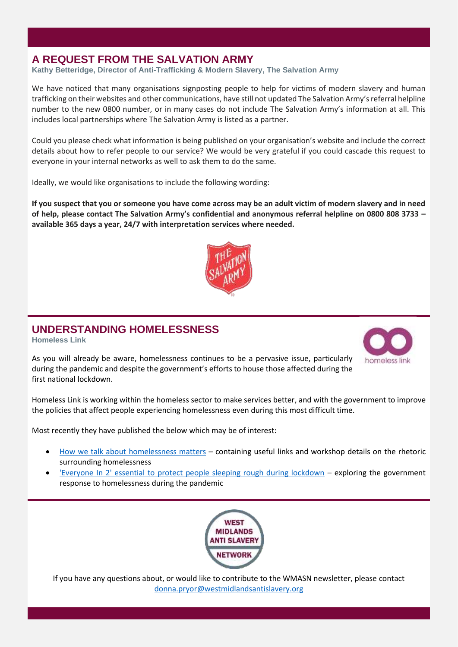### **A REQUEST FROM THE SALVATION ARMY**

**Kathy Betteridge, Director of Anti-Trafficking & Modern Slavery, The Salvation Army**

We have noticed that many organisations signposting people to help for victims of modern slavery and human trafficking on their websites and other communications, have still not updated The Salvation Army's referral helpline number to the new 0800 number, or in many cases do not include The Salvation Army's information at all. This includes local partnerships where The Salvation Army is listed as a partner.

Could you please check what information is being published on your organisation's website and include the correct details about how to refer people to our service? We would be very grateful if you could cascade this request to everyone in your internal networks as well to ask them to do the same.

Ideally, we would like organisations to include the following wording:

**If you suspect that you or someone you have come across may be an adult victim of modern slavery and in need of help, please contact The Salvation Army's confidential and anonymous referral helpline on 0800 808 3733 – available 365 days a year, 24/7 with interpretation services where needed.**



#### **UNDERSTANDING HOMELESSNESS**

**Homeless Link**

homeless lin

As you will already be aware, homelessness continues to be a pervasive issue, particularly during the pandemic and despite the government's efforts to house those affected during the first national lockdown.

Homeless Link is working within the homeless sector to make services better, and with the government to improve the policies that affect people experiencing homelessness even during this most difficult time.

Most recently they have published the below which may be of interest:

- [How we talk about homelessness matters](https://www.homeless.org.uk/connect/blogs/2020/oct/29/how-we-talk-about-homelessness-matters-%E2%80%93-explore-how-framing-can-help-us) containing useful links and workshop details on the rhetoric surrounding homelessness
- ['Everyone In 2' essential to protect people sleeping rough during lockdown](https://www.homeless.org.uk/connect/blogs/2020/nov/02/everyone-in-2-essential-to-protect-people-sleeping-rough-during-lockdown) exploring the government response to homelessness during the pandemic



If you have any questions about, or would like to contribute to the WMASN newsletter, please contact [donna.pryor@westmidlandsantislavery.org](about:blank)